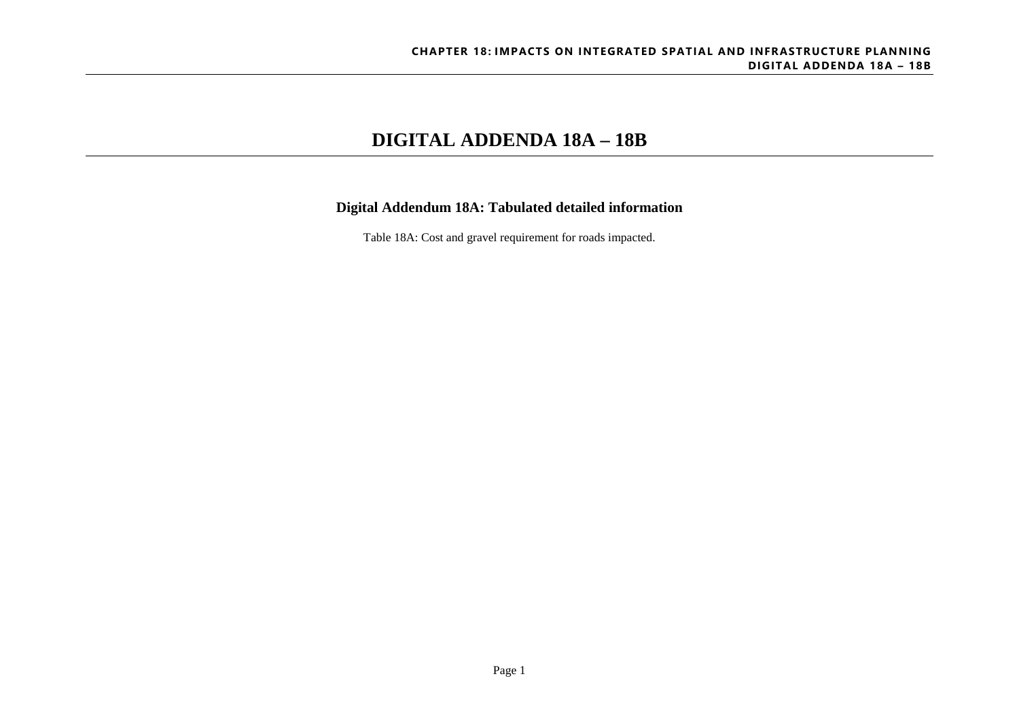## **DIGITAL ADDENDA 18A – 18B**

## **Digital Addendum 18A: Tabulated detailed information**

Table 18A: Cost and gravel requirement for roads impacted.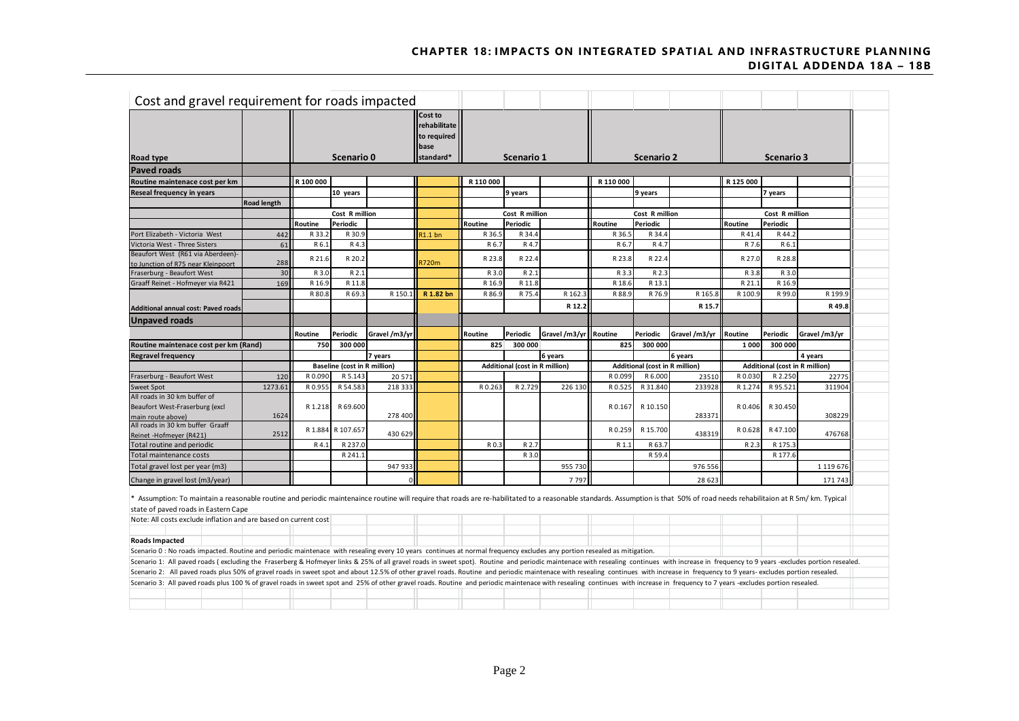## **CHAPTER 18: IMPACTS ON INTEGRATED SPATIAL AND INFRASTRUCTURE PLANNING DIGITAL ADDENDA 18A – 18B**

| Road type<br><b>Paved roads</b><br>Routine maintenace cost per km<br>Reseal frequency in years                                                                                                                                                                                             |                    |           |                                     |               | Cost to<br>rehabilitate<br>to required<br>base |           |                                |               |           |                                |               |           |                                |               |
|--------------------------------------------------------------------------------------------------------------------------------------------------------------------------------------------------------------------------------------------------------------------------------------------|--------------------|-----------|-------------------------------------|---------------|------------------------------------------------|-----------|--------------------------------|---------------|-----------|--------------------------------|---------------|-----------|--------------------------------|---------------|
|                                                                                                                                                                                                                                                                                            |                    |           | Scenario 0                          |               | standard*                                      |           | Scenario 1                     |               |           | <b>Scenario 2</b>              |               |           | <b>Scenario 3</b>              |               |
|                                                                                                                                                                                                                                                                                            |                    |           |                                     |               |                                                |           |                                |               |           |                                |               |           |                                |               |
|                                                                                                                                                                                                                                                                                            |                    | R 100 000 |                                     |               |                                                | R 110 000 |                                |               | R 110 000 |                                |               | R 125 000 |                                |               |
|                                                                                                                                                                                                                                                                                            |                    |           | 10 years                            |               |                                                |           | 9 years                        |               |           | 9 years                        |               |           | 7 years                        |               |
|                                                                                                                                                                                                                                                                                            | <b>Road length</b> |           |                                     |               |                                                |           |                                |               |           |                                |               |           |                                |               |
|                                                                                                                                                                                                                                                                                            |                    |           | Cost R million                      |               |                                                |           | Cost R million                 |               |           | Cost R million                 |               |           | Cost R million                 |               |
|                                                                                                                                                                                                                                                                                            |                    | Routine   | Periodic                            |               |                                                | Routine   | Periodic                       |               | Routine   | Periodic                       |               | Routine   | Periodic                       |               |
| Port Elizabeth - Victoria West                                                                                                                                                                                                                                                             | 442                | R 33.2    | R 30.9                              |               | R1.1 bn                                        | R 36.5    | R 34.4                         |               | R 36.5    | R 34.4                         |               | R41.4     | R 44.                          |               |
| Victoria West - Three Sisters                                                                                                                                                                                                                                                              | 61                 | R 6.1     | R 4.3                               |               |                                                | R 6.7     | R 4.7                          |               | R 6.7     | R 4.7                          |               | R 7.6     | R 6.1                          |               |
| Beaufort West (R61 via Aberdeen)-                                                                                                                                                                                                                                                          | 288                | R 21.6    | R 20.2                              |               | R720m                                          | R 23.8    | R 22.4                         |               | R 23.8    | R 22.4                         |               | R 27.0    | R 28.8                         |               |
| to Junction of R75 near Kleinpoort<br>Fraserburg - Beaufort West                                                                                                                                                                                                                           | 30                 | R 3.0     | R 2.1                               |               |                                                | R 3.0     | R 2.1                          |               | R 3.3     | R 2.3                          |               | R 3.8     | R 3.0                          |               |
| Graaff Reinet - Hofmeyer via R421                                                                                                                                                                                                                                                          | 169                | R 16.9    | R 11.8                              |               |                                                | R 16.9    | R 11.8                         |               | R 18.6    | R 13.1                         |               | R 21.1    | R 16.9                         |               |
|                                                                                                                                                                                                                                                                                            |                    | R 80.8    | R 69.3                              | R 150.1       | R 1.82 bn                                      | R 86.9    | R 75.4                         | R 162.3       | R 88.9    | R 76.9                         | R 165.8       | R 100.9   | R 99.0                         | R 199.9       |
|                                                                                                                                                                                                                                                                                            |                    |           |                                     |               |                                                |           |                                | R 12.2        |           |                                | R 15.7        |           |                                | R 49.8        |
| Additional annual cost: Paved roads                                                                                                                                                                                                                                                        |                    |           |                                     |               |                                                |           |                                |               |           |                                |               |           |                                |               |
| Unpaved roads                                                                                                                                                                                                                                                                              |                    |           |                                     |               |                                                |           |                                |               |           |                                |               |           |                                |               |
|                                                                                                                                                                                                                                                                                            |                    | Routine   | Periodic                            | Gravel /m3/yr |                                                | Routine   | Periodic                       | Gravel /m3/yr | Routine   | Periodic                       | Gravel /m3/yr | Routine   | Periodic                       | Gravel /m3/yr |
| Routine maintenace cost per km (Rand)                                                                                                                                                                                                                                                      |                    | 750       | 300 000                             |               |                                                | 825       | 300 000                        |               | 825       | 300 000                        |               | 1000      | 300 000                        |               |
| <b>Regravel frequency</b>                                                                                                                                                                                                                                                                  |                    |           |                                     | 7 years       |                                                |           |                                | 6 years       |           |                                | 6 years       |           |                                | 4 years       |
|                                                                                                                                                                                                                                                                                            |                    |           | <b>Baseline (cost in R million)</b> |               |                                                |           | Additional (cost in R million) |               |           | Additional (cost in R million) |               |           | Additional (cost in R million) |               |
|                                                                                                                                                                                                                                                                                            | 120                | R0.090    | R 5.143                             | 20571         |                                                |           |                                |               | R 0.099   |                                |               |           |                                |               |
|                                                                                                                                                                                                                                                                                            |                    |           |                                     |               |                                                |           |                                |               |           | R 6.000                        | 23510         | R0.030    | R 2.250                        | 22775         |
|                                                                                                                                                                                                                                                                                            | 1273.61            | R0.955    | R 54.583                            | 218 333       |                                                | R0.263    | R 2.729                        | 226 130       | R0.525    | R 31.840                       | 233928        | R 1.274   | R 95.521                       | 311904        |
|                                                                                                                                                                                                                                                                                            |                    |           |                                     |               |                                                |           |                                |               |           |                                |               |           |                                |               |
|                                                                                                                                                                                                                                                                                            |                    | R 1.218   | R 69.600                            |               |                                                |           |                                |               | R0.167    | R 10.150                       |               | R0.406    | R 30.450                       |               |
|                                                                                                                                                                                                                                                                                            | 1624               |           |                                     | 278 400       |                                                |           |                                |               |           |                                | 283371        |           |                                | 308229        |
|                                                                                                                                                                                                                                                                                            | 2512               | R 1.884   | R 107.657                           | 430 629       |                                                |           |                                |               | R0.259    | R 15.700                       | 438319        | R0.628    | R47.100                        | 476768        |
|                                                                                                                                                                                                                                                                                            |                    | R 4.1     | R 237.0                             |               |                                                | R0.3      | R 2.7                          |               | R 1.1     | R63.7                          |               | R 2.3     | R 175.3                        |               |
|                                                                                                                                                                                                                                                                                            |                    |           | R 241.1                             |               |                                                |           | R 3.0                          |               |           | R 59.4                         |               |           | R 177.6                        |               |
| Fraserburg - Beaufort West<br>Sweet Spot<br>All roads in 30 km buffer of<br>Beaufort West-Fraserburg (excl<br>main route above)<br>All roads in 30 km buffer Graaff<br>Reinet -Hofmeyer (R421)<br>Total routine and periodic<br>Total maintenance costs<br>Total gravel lost per year (m3) |                    |           |                                     | 947933        |                                                |           |                                | 955 730       |           |                                | 976 556       |           |                                | 1 1 1 9 6 7 6 |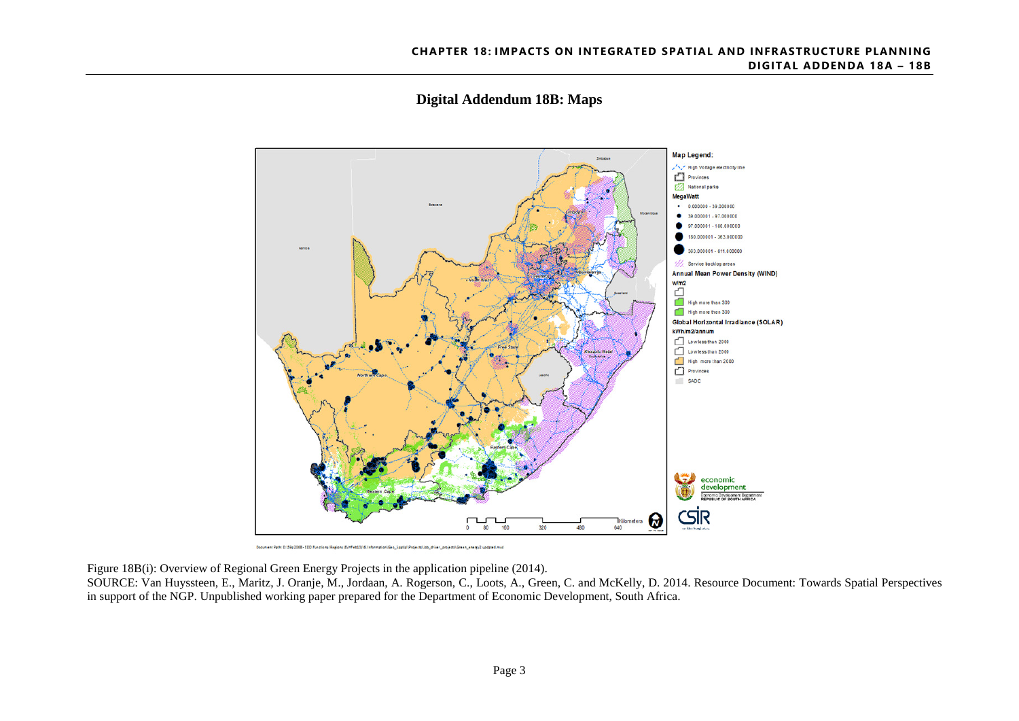

## **Digital Addendum 18B: Maps**

Document Path: D:\39p2068 - EDD Functional Regions (EvhPeb15)\6. Information\Geo\_Spatial\Projects\Job\_driver\_projects\Green\_energy2 updated.mxd

Figure 18B(i): Overview of Regional Green Energy Projects in the application pipeline (2014).

SOURCE: Van Huyssteen, E., Maritz, J. Oranje, M., Jordaan, A. Rogerson, C., Loots, A., Green, C. and McKelly, D. 2014. Resource Document: Towards Spatial Perspectives in support of the NGP. Unpublished working paper prepared for the Department of Economic Development, South Africa.